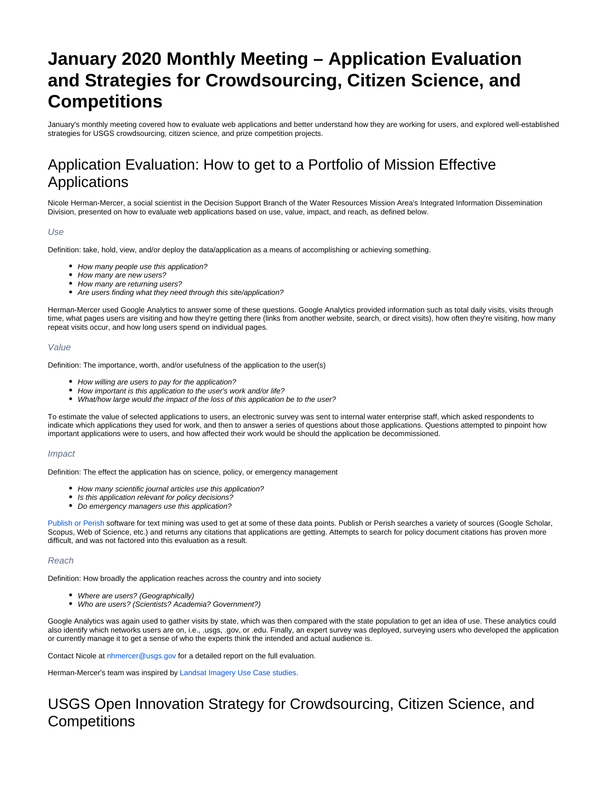# **January 2020 Monthly Meeting – Application Evaluation and Strategies for Crowdsourcing, Citizen Science, and Competitions**

January's monthly meeting covered how to evaluate web applications and better understand how they are working for users, and explored well-established strategies for USGS crowdsourcing, citizen science, and prize competition projects.

## Application Evaluation: How to get to a Portfolio of Mission Effective Applications

Nicole Herman-Mercer, a social scientist in the Decision Support Branch of the Water Resources Mission Area's Integrated Information Dissemination Division, presented on how to evaluate web applications based on use, value, impact, and reach, as defined below.

#### Use

Definition: take, hold, view, and/or deploy the data/application as a means of accomplishing or achieving something.

- How many people use this application?
- How many are new users?
- How many are returning users?
- Are users finding what they need through this site/application?

Herman-Mercer used Google Analytics to answer some of these questions. Google Analytics provided information such as total daily visits, visits through time, what pages users are visiting and how they're getting there (links from another website, search, or direct visits), how often they're visiting, how many repeat visits occur, and how long users spend on individual pages.

#### Value

Definition: The importance, worth, and/or usefulness of the application to the user(s)

- How willing are users to pay for the application?
- How important is this application to the user's work and/or life?
- $\bullet$ What/how large would the impact of the loss of this application be to the user?

To estimate the value of selected applications to users, an electronic survey was sent to internal water enterprise staff, which asked respondents to indicate which applications they used for work, and then to answer a series of questions about those applications. Questions attempted to pinpoint how important applications were to users, and how affected their work would be should the application be decommissioned.

#### Impact

Definition: The effect the application has on science, policy, or emergency management

- How many scientific journal articles use this application?
- Is this application relevant for policy decisions?
- Do emergency managers use this application?

[Publish or Perish](https://harzing.com/resources/publish-or-perish) software for text mining was used to get at some of these data points. Publish or Perish searches a variety of sources (Google Scholar, Scopus, Web of Science, etc.) and returns any citations that applications are getting. Attempts to search for policy document citations has proven more difficult, and was not factored into this evaluation as a result.

#### Reach

Definition: How broadly the application reaches across the country and into society

- Where are users? (Geographically)
- Who are users? (Scientists? Academia? Government?)

Google Analytics was again used to gather visits by state, which was then compared with the state population to get an idea of use. These analytics could also identify which networks users are on, i.e., .usgs, .gov, or .edu. Finally, an expert survey was deployed, surveying users who developed the application or currently manage it to get a sense of who the experts think the intended and actual audience is.

Contact Nicole at [nhmercer@usgs.gov](mailto:nhmercer@usgs.gov) for a detailed report on the full evaluation.

Herman-Mercer's team was inspired by [Landsat Imagery Use Case studies](https://www.usgs.gov/centers/fort/science/case-studies-landsat-imagery-use).

### USGS Open Innovation Strategy for Crowdsourcing, Citizen Science, and **Competitions**